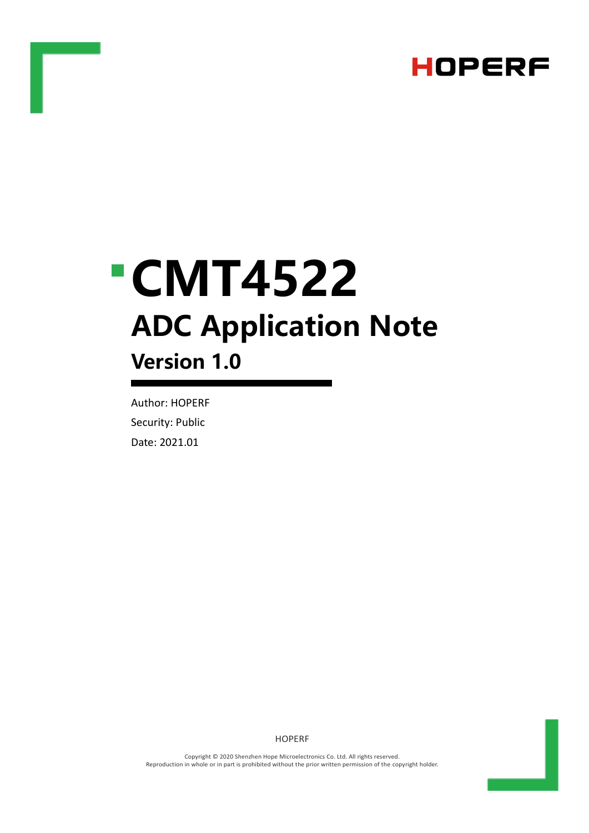

# **CMT4522 ADC Application Note Version 1.0**

Author: HOPERF Security: Public Date: 2021.01

HOPERF

Copyright © 2020 Shenzhen Hope Microelectronics Co. Ltd. All rights reserved. Reproduction in whole or in part is prohibited without the prior written permission of the copyright holder.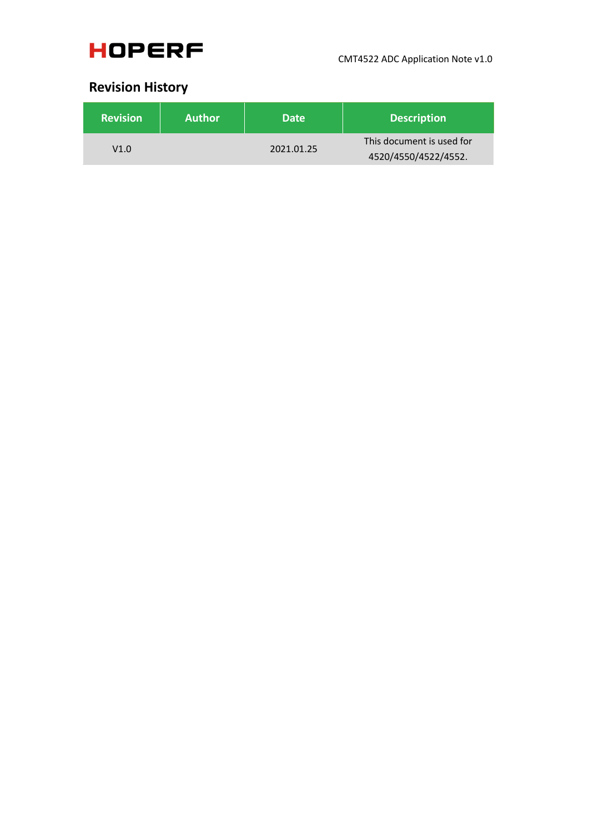

### **Revision History**

| <b>Revision</b> | <b>Author</b> | Date <sup>1</sup> | <b>Description</b>        |
|-----------------|---------------|-------------------|---------------------------|
| V1.0            |               | 2021.01.25        | This document is used for |
|                 |               |                   | 4520/4550/4522/4552.      |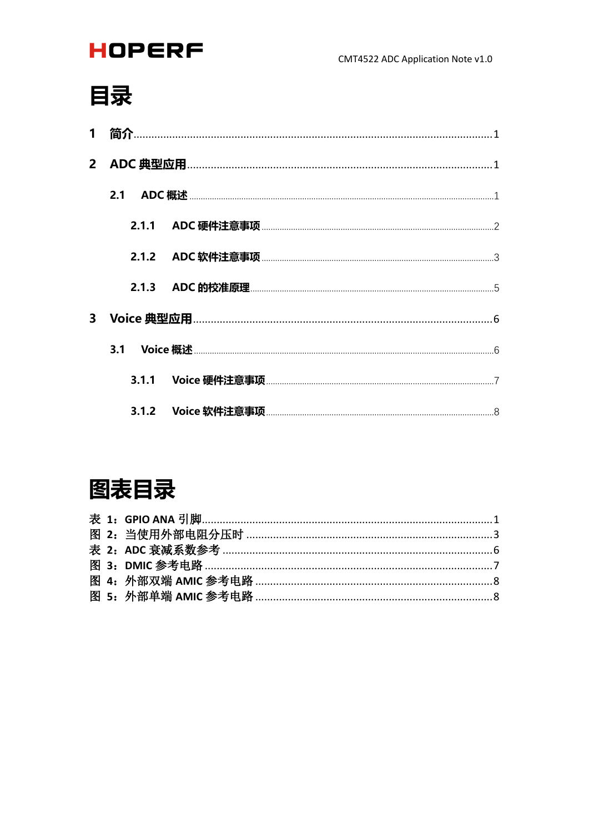# 目录

| 1 |     |  |
|---|-----|--|
|   |     |  |
|   |     |  |
|   |     |  |
|   |     |  |
|   |     |  |
|   |     |  |
|   | 3.1 |  |
|   |     |  |
|   |     |  |

## 图表目录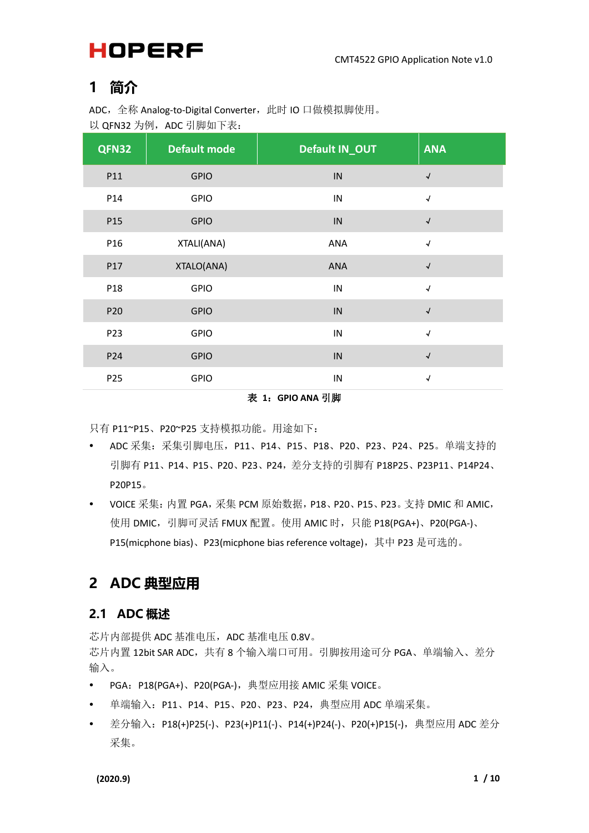### <span id="page-3-0"></span>**1 简介**

ADC, 全称 Analog-to-Digital Converter, 此时 IO 口做模拟脚使用。 以 QFN32 为例, ADC 引脚如下表:

| QFN32           | <b>Default mode</b> | Default IN_OUT | <b>ANA</b>                 |
|-----------------|---------------------|----------------|----------------------------|
| P11             | <b>GPIO</b>         | ${\sf IN}$     | $\sqrt{\phantom{a}}$       |
| P14             | <b>GPIO</b>         | ${\sf IN}$     | $\sqrt{ }$                 |
| P15             | <b>GPIO</b>         | ${\sf IN}$     | $\sqrt{ }$                 |
| P16             | XTALI(ANA)          | ANA            | $\sqrt{\phantom{a}}$       |
| P17             | XTALO(ANA)          | <b>ANA</b>     | $\sqrt{\phantom{a}}$       |
| P18             | <b>GPIO</b>         | ${\sf IN}$     | $\sqrt{ }$                 |
| P <sub>20</sub> | <b>GPIO</b>         | ${\sf IN}$     | $\sqrt{\phantom{a}}$       |
| P <sub>23</sub> | <b>GPIO</b>         | ${\sf IN}$     | $\sqrt{ }$                 |
| P <sub>24</sub> | <b>GPIO</b>         | ${\sf IN}$     | $\sqrt{\phantom{a}}$       |
| P <sub>25</sub> | <b>GPIO</b>         | ${\sf IN}$     | $\boldsymbol{\mathcal{N}}$ |

表 **1**:**GPIO ANA** 引脚

<span id="page-3-3"></span>只有 P11~P15、P20~P25 支持模拟功能。用途如下:

- ADC 采集:采集引脚电压,P11、P14、P15、P18、P20、P23、P24、P25。单端支持的 引脚有 P11、P14、P15、P20、P23、P24,差分支持的引脚有 P18P25、P23P11、P14P24、 P20P15。
- VOICE 采集: 内置 PGA, 采集 PCM 原始数据, P18、P20、P15、P23。 支持 DMIC 和 AMIC, 使用 DMIC, 引脚可灵活 FMUX 配置。使用 AMIC 时, 只能 P18(PGA+)、P20(PGA-)、 P15(micphone bias)、P23(micphone bias reference voltage), 其中 P23 是可选的。

### <span id="page-3-1"></span>**2 ADC 典型应用**

#### <span id="page-3-2"></span>**2.1 ADC 概述**

芯片内部提供 ADC 基准电压, ADC 基准电压 0.8V。 芯片内置 12bit SAR ADC, 共有 8 个输入端口可用。引脚按用途可分 PGA、单端输入、差分 输入。

- PGA: P18(PGA+)、P20(PGA-),典型应用接 AMIC 采集 VOICE。
- 单端输入:P11、P14、P15、P20、P23、P24,典型应用 ADC 单端采集。
- 差分输入: P18(+)P25(-)、P23(+)P11(-)、P14(+)P24(-)、P20(+)P15(-),典型应用 ADC 差分 采集。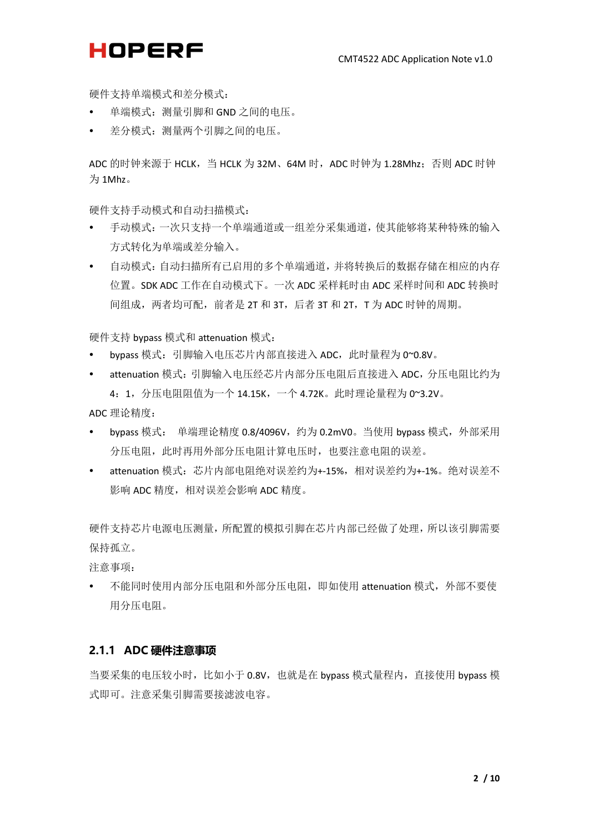硬件支持单端模式和差分模式:

- 单端模式:测量引脚和 GND 之间的电压。
- 差分模式:测量两个引脚之间的电压。

ADC 的时钟来源于 HCLK, 当 HCLK 为 32M、64M 时, ADC 时钟为 1.28Mhz; 否则 ADC 时钟 为 1Mhz。

硬件支持手动模式和自动扫描模式:

- 手动模式:一次只支持一个单端通道或一组差分采集通道,使其能够将某种特殊的输入 方式转化为单端或差分输入。
- 自动模式:自动扫描所有已启用的多个单端通道,并将转换后的数据存储在相应的内存 位置。SDK ADC 工作在自动模式下。一次 ADC 采样耗时由 ADC 采样时间和 ADC 转换时 间组成,两者均可配,前者是 2T 和 3T,后者 3T 和 2T, T 为 ADC 时钟的周期。

硬件支持 bypass 模式和 attenuation 模式:

- bypass 模式:引脚输入电压芯片内部直接进入 ADC,此时量程为 0~0.8V。
- attenuation 模式: 引脚输入电压经芯片内部分压电阻后直接进入 ADC, 分压电阻比约为 4:1,分压电阻阻值为一个 14.15K,一个 4.72K。此时理论量程为 0~3.2V。
- ADC 理论精度:
- bypass 模式: 单端理论精度 0.8/4096V, 约为 0.2mV0。当使用 bypass 模式, 外部采用 分压电阻,此时再用外部分压电阻计算电压时,也要注意电阻的误差。
- attenuation 模式:芯片内部电阻绝对误差约为+-15%,相对误差约为+-1%。绝对误差不 影响 ADC 精度,相对误差会影响 ADC 精度。

硬件支持芯片电源电压测量,所配置的模拟引脚在芯片内部已经做了处理,所以该引脚需要 保持孤立。

注意事项:

不能同时使用内部分压电阻和外部分压电阻, 即如使用 attenuation 模式, 外部不要使 用分压电阻。

#### <span id="page-4-0"></span>**2.1.1 ADC 硬件注意事项**

当要采集的电压较小时,比如小于 0.8V, 也就是在 bypass 模式量程内, 直接使用 bypass 模 式即可。注意采集引脚需要接滤波电容。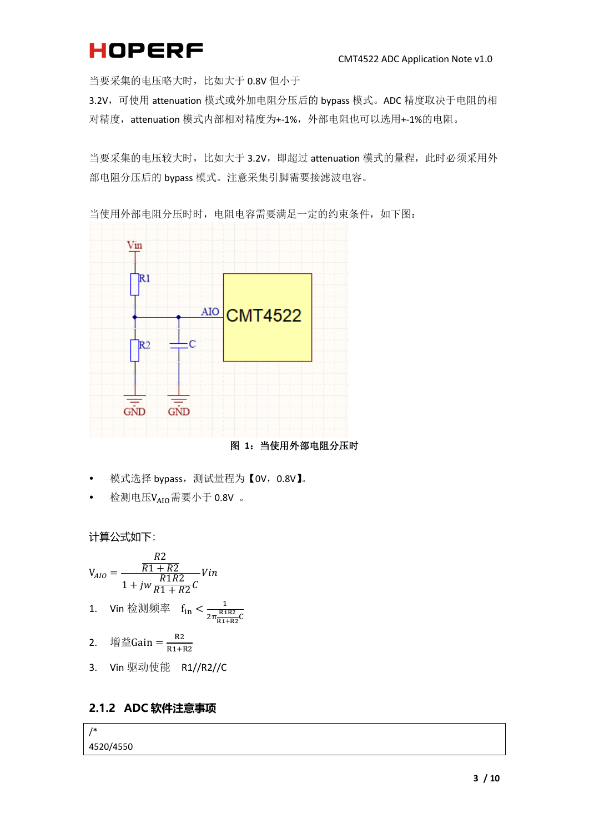当要采集的电压略大时,比如大于 0.8V 但小于

3.2V,可使用 attenuation 模式或外加电阻分压后的 bypass 模式。ADC 精度取决于电阻的相 对精度,attenuation 模式内部相对精度为+-1%,外部电阻也可以选用+-1%的电阻。

当要采集的电压较大时,比如大于 3.2V, 即超过 attenuation 模式的量程, 此时必须采用外 部电阻分压后的 bypass 模式。注意采集引脚需要接滤波电容。



当使用外部电阻分压时时,电阻电容需要满足一定的约束条件,如下图:

图 **1**:当使用外部电阻分压时

- <span id="page-5-1"></span>模式选择 bypass,测试量程为【0V,0.8V】。
- 检测电压 $V_{AIO}$ 需要小于 0.8V 。

计算公式如下:

\n
$$
V_{AIO} = \frac{R1 + R2}{1 + jw \frac{R1R2}{R1 + R2}} \text{V in}
$$
\n

\n\n 1. \n  $V \text{in } \frac{R1R2}{R1 + R2} \text{C}$ \n

\n\n 2. \n  $\frac{\text{in } \frac{R1R2}{R1 + R2}}{\text{in } \frac{R1R2}{R1 + R2}}$ \n

\n\n 3. \n  $V \text{in } \frac{\text{in } \frac{R2}{R1 + R2}}{\text{in } \frac{R1}{R1 + R2}}$ \n

#### <span id="page-5-0"></span>**2.1.2 ADC 软件注意事项**

/\* 4520/4550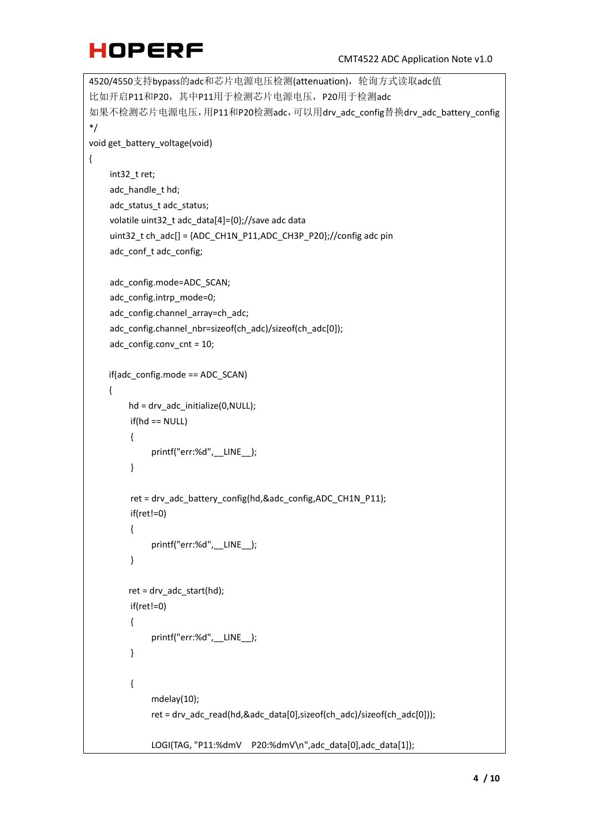```
4520/4550支持bypass的adc和芯片电源电压检测(attenuation),轮询方式读取adc值
比如开启P11和P20, 其中P11用于检测芯片电源电压, P20用于检测adc
如果不检测芯片电源电压,用P11和P20检测adc,可以用drv_adc_config替换drv_adc_battery_config
*/
void get_battery_voltage(void)
{
    int32_t ret;
    adc_handle_t hd;
    adc_status_t adc_status;
    volatile uint32_t adc_data[4]={0};//save adc data
    uint32 t ch_adc[] = {ADC_CH1N_P11,ADC_CH3P_P20};//config adc pin
    adc_conf_t adc_config;
    adc_config.mode=ADC_SCAN;
    adc_config.intrp_mode=0;
    adc_config.channel_array=ch_adc;
    adc_config.channel_nbr=sizeof(ch_adc)/sizeof(ch_adc[0]);
    adc_config.conv_cnt = 10;
     if(adc_config.mode == ADC_SCAN)
     {
        hd = drv adc initialize(0,NULL);
        if(hd == NULL){
             printf("err:%d", LINE );
        }
         ret = drv_adc_battery_config(hd,&adc_config,ADC_CH1N_P11);
         if(ret!=0)
         {
             printf("err:%d",__LINE__);
         }
        ret = drv adc_{stat(hd)};
         if(ret!=0)
        {
             printf("err:%d",__LINE__);
        } 
        {
             mdelay(10);
             ret = drv_adc_read(hd,&adc_data[0],sizeof(ch_adc)/sizeof(ch_adc[0]));
             LOGI(TAG, "P11:%dmV P20:%dmV\n",adc_data[0],adc_data[1]);
```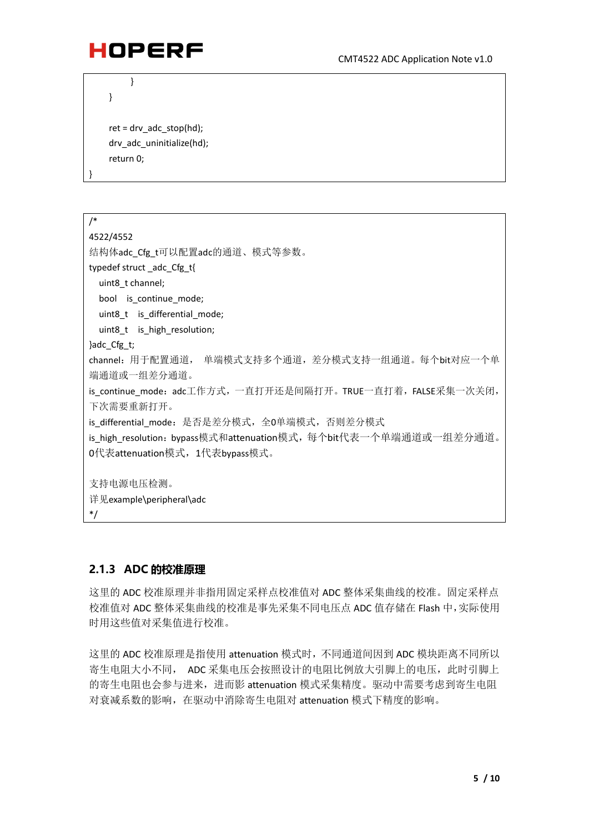

}

}

```
ret = drv adc stop(hd);
 drv_adc_uninitialize(hd);
 return 0;
```
}

```
/*
4522/4552
结构体adc_Cfg_t可以配置adc的通道、模式等参数。
typedef struct _adc_Cfg_t{
 uint8 t channel;
 bool is_continue mode;
 uint8 t is differential mode;
  uint8_t is_high_resolution; 
}adc_Cfg_t;
channel:用于配置通道, 单端模式支持多个通道,差分模式支持一组通道。每个bit对应一个单
端通道或一组差分通道。
is_continue_mode:adc工作方式,一直打开还是间隔打开。TRUE一直打着,FALSE采集一次关闭,
下次需要重新打开。
is differential mode: 是否是差分模式,全0单端模式,否则差分模式
is_high_resolution:bypass模式和attenuation模式,每个bit代表一个单端通道或一组差分通道。
0代表attenuation模式,1代表bypass模式。
支持电源电压检测。
详见example\peripheral\adc
*/
```
#### <span id="page-7-0"></span>**2.1.3 ADC 的校准原理**

这里的 ADC 校准原理并非指用固定采样点校准值对 ADC 整体采集曲线的校准。固定采样点 校准值对 ADC 整体采集曲线的校准是事先采集不同电压点 ADC 值存储在 Flash 中,实际使用 时用这些值对采集值进行校准。

这里的 ADC 校准原理是指使用 attenuation 模式时,不同通道间因到 ADC 模块距离不同所以 寄生电阻大小不同, ADC 采集电压会按照设计的电阻比例放大引脚上的电压,此时引脚上 的寄生电阻也会参与进来,进而影 attenuation 模式采集精度。驱动中需要考虑到寄生电阻 对衰减系数的影响,在驱动中消除寄生电阻对 attenuation 模式下精度的影响。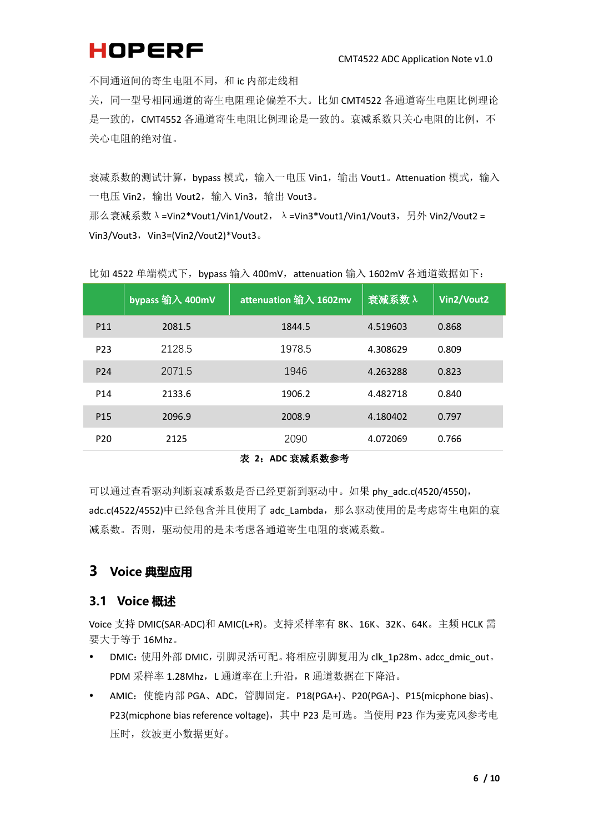不同通道间的寄生电阻不同,和 ic 内部走线相

关,同一型号相同通道的寄生电阻理论偏差不大。比如 CMT4522 各通道寄生电阻比例理论 是一致的, CMT4552 各通道寄生电阻比例理论是一致的。衰减系数只关心电阻的比例, 不 关心电阻的绝对值。

衰减系数的测试计算, bypass 模式, 输入一电压 Vin1, 输出 Vout1。Attenuation 模式, 输入 一电压 Vin2,输出 Vout2,输入 Vin3,输出 Vout3。

那么衰减系数 λ =Vin2\*Vout1/Vin1/Vout2, λ =Vin3\*Vout1/Vin1/Vout3, 另外 Vin2/Vout2 = Vin3/Vout3, Vin3=(Vin2/Vout2)\*Vout3。

|                 | bypass 输入 400mV | attenuation 输入 1602mv | 衰减系数 $\lambda$ | Vin2/Vout2 |
|-----------------|-----------------|-----------------------|----------------|------------|
| P <sub>11</sub> | 2081.5          | 1844.5                | 4.519603       | 0.868      |
| P <sub>23</sub> | 2128.5          | 1978.5                | 4.308629       | 0.809      |
| P <sub>24</sub> | 2071.5          | 1946                  | 4.263288       | 0.823      |
| P <sub>14</sub> | 2133.6          | 1906.2                | 4.482718       | 0.840      |
| P <sub>15</sub> | 2096.9          | 2008.9                | 4.180402       | 0.797      |
| P <sub>20</sub> | 2125            | 2090                  | 4.072069       | 0.766      |

比如 4522 单端模式下, bypass 输入 400mV, attenuation 输入 1602mV 各通道数据如下:

#### 表 **2**:**ADC** 衰减系数参考

<span id="page-8-2"></span>可以通过查看驱动判断衰减系数是否已经更新到驱动中。如果 phy\_adc.c(4520/4550), adc.c(4522/4552)中已经包含并且使用了 adc\_Lambda,那么驱动使用的是考虑寄生电阻的衰 减系数。否则,驱动使用的是未考虑各通道寄生电阻的衰减系数。

#### <span id="page-8-0"></span>**3 Voice 典型应用**

#### <span id="page-8-1"></span>**3.1 Voice 概述**

Voice 支持 DMIC(SAR-ADC)和 AMIC(L+R)。支持采样率有 8K、16K、32K、64K。主频 HCLK 需 要大于等于 16Mhz。

- DMIC: 使用外部 DMIC, 引脚灵活可配。将相应引脚复用为 clk\_1p28m、adcc\_dmic\_out。 PDM 采样率 1.28Mhz, L 通道率在上升沿, R 通道数据在下降沿。
- AMIC:使能内部 PGA、ADC,管脚固定。P18(PGA+)、P20(PGA-)、P15(micphone bias)、 P23(micphone bias reference voltage),其中 P23 是可选。当使用 P23 作为麦克风参考电 压时,纹波更小数据更好。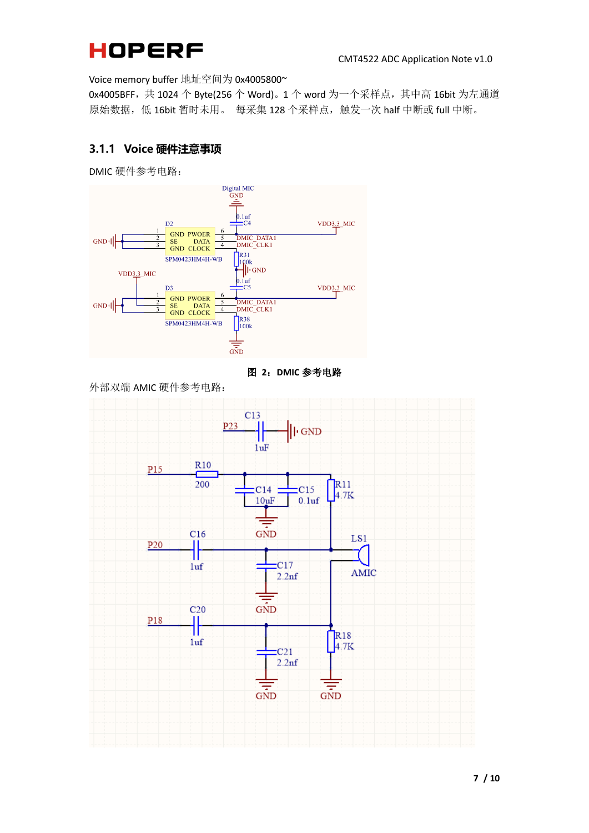Voice memory buffer 地址空间为 0x4005800~

0x4005BFF,共 1024 个 Byte(256 个 Word)。1 个 word 为一个采样点,其中高 16bit 为左通道 原始数据, 低 16bit 暂时未用。 每采集 128 个采样点, 触发一次 half 中断或 full 中断。

#### <span id="page-9-0"></span>**3.1.1 Voice 硬件注意事项**

DMIC 硬件参考电路:



图 **2**:**DMIC** 参考电路

<span id="page-9-1"></span>外部双端 AMIC 硬件参考电路:

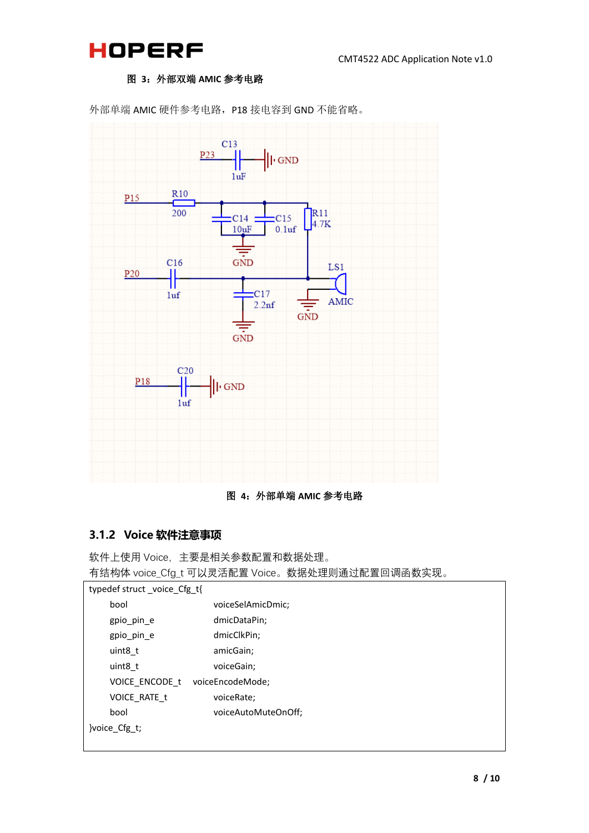



#### 图 **3**:外部双端 **AMIC** 参考电路

<span id="page-10-1"></span>



#### <span id="page-10-2"></span><span id="page-10-0"></span>**3.1.2 Voice 软件注意事项**

软件上使用 Voice, 主要是相关参数配置和数据处理。

有结构体 voice\_Cfg\_t 可以灵活配置 Voice。数据处理则通过配置回调函数实现。

| typedef struct_voice_Cfg_t{ |                                 |  |  |
|-----------------------------|---------------------------------|--|--|
| bool                        | voiceSelAmicDmic;               |  |  |
| gpio_pin_e                  | dmicDataPin;                    |  |  |
| gpio pin e                  | dmicClkPin;                     |  |  |
| uint8 t                     | amicGain;                       |  |  |
| uint8 t                     | voiceGain;                      |  |  |
|                             | VOICE ENCODE t voiceEncodeMode; |  |  |
| VOICE RATE t                | voiceRate;                      |  |  |
| hool                        | voiceAutoMuteOnOff;             |  |  |
| woice Cfg t;                |                                 |  |  |
|                             |                                 |  |  |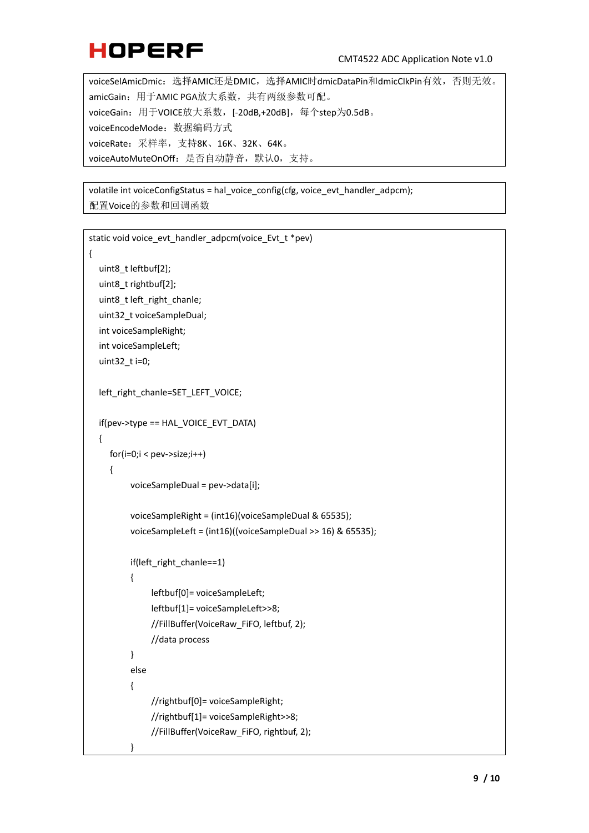voiceSelAmicDmic:选择AMIC还是DMIC,选择AMIC时dmicDataPin和dmicClkPin有效,否则无效。 amicGain:用于AMIC PGA放大系数,共有两级参数可配。 voiceGain:用于VOICE放大系数,[-20dB,+20dB],每个step为0.5dB。 voiceEncodeMode:数据编码方式 voiceRate:采样率,支持8K、16K、32K、64K。 voiceAutoMuteOnOff:是否自动静音,默认0,支持。

volatile int voiceConfigStatus = hal\_voice\_config(cfg, voice\_evt\_handler\_adpcm); 配置Voice的参数和回调函数

```
static void voice_evt_handler_adpcm(voice_Evt_t *pev)
{
  uint8_t leftbuf[2];
   uint8_t rightbuf[2];
   uint8_t left_right_chanle;
  uint32 t voiceSampleDual;
   int voiceSampleRight;
   int voiceSampleLeft;
   uint32_t i=0;
  left_right_chanle=SET_LEFT_VOICE;
   if(pev->type == HAL_VOICE_EVT_DATA)
   {
     for(i=0;i < pev-&gt;size;i++){
          voiceSampleDual = pev->data[i];
          voiceSampleRight = (int16)(voiceSampleDual & 65535);
          voiceSampleLeft = (int16)((voiceSampleDual >> 16) & 65535);
          if(left_right_chanle==1)
          {
               leftbuf[0]= voiceSampleLeft;
               leftbuf[1]= voiceSampleLeft>>8;
               //FillBuffer(VoiceRaw_FiFO, leftbuf, 2);
               //data process
          }
          else
          {
               //rightbuf[0]= voiceSampleRight;
               //rightbuf[1]= voiceSampleRight>>8;
               //FillBuffer(VoiceRaw_FiFO, rightbuf, 2);
          }
```